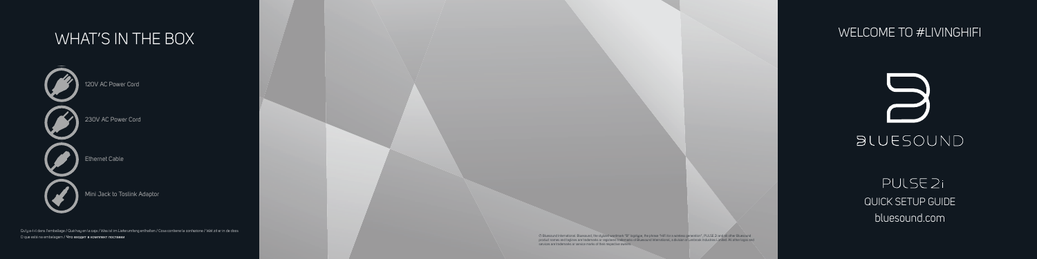# WHAT'S IN THE BOX



120V AC Power Cord

230V AC Power Cord

Ethernet Cable

Mini Jack to Toslink Adaptor

© Bluesound International. Bluesound, the stylized wordmark "B" logotype, the phrase "HiFi for a wireless generation", PULSE 2i and all other Bluesound<br>product names and taglines are trademarks or registered trademarks of services are trademarks or service marks of their respective owners.

PULSE<sub>2i</sub> QUICK SETUP GUIDE bluesound.com

Qu'y a-t-il dans l'emballage / Qué hay en la caja / Was ist im Lieferumfang enthalten / Cosa contiene la confezione / Wat zit er in de doos O que está na embalagem / Что входит в комплект поставки



## WELCOME TO #LIVINGHIFI

# **BLUESOUND**